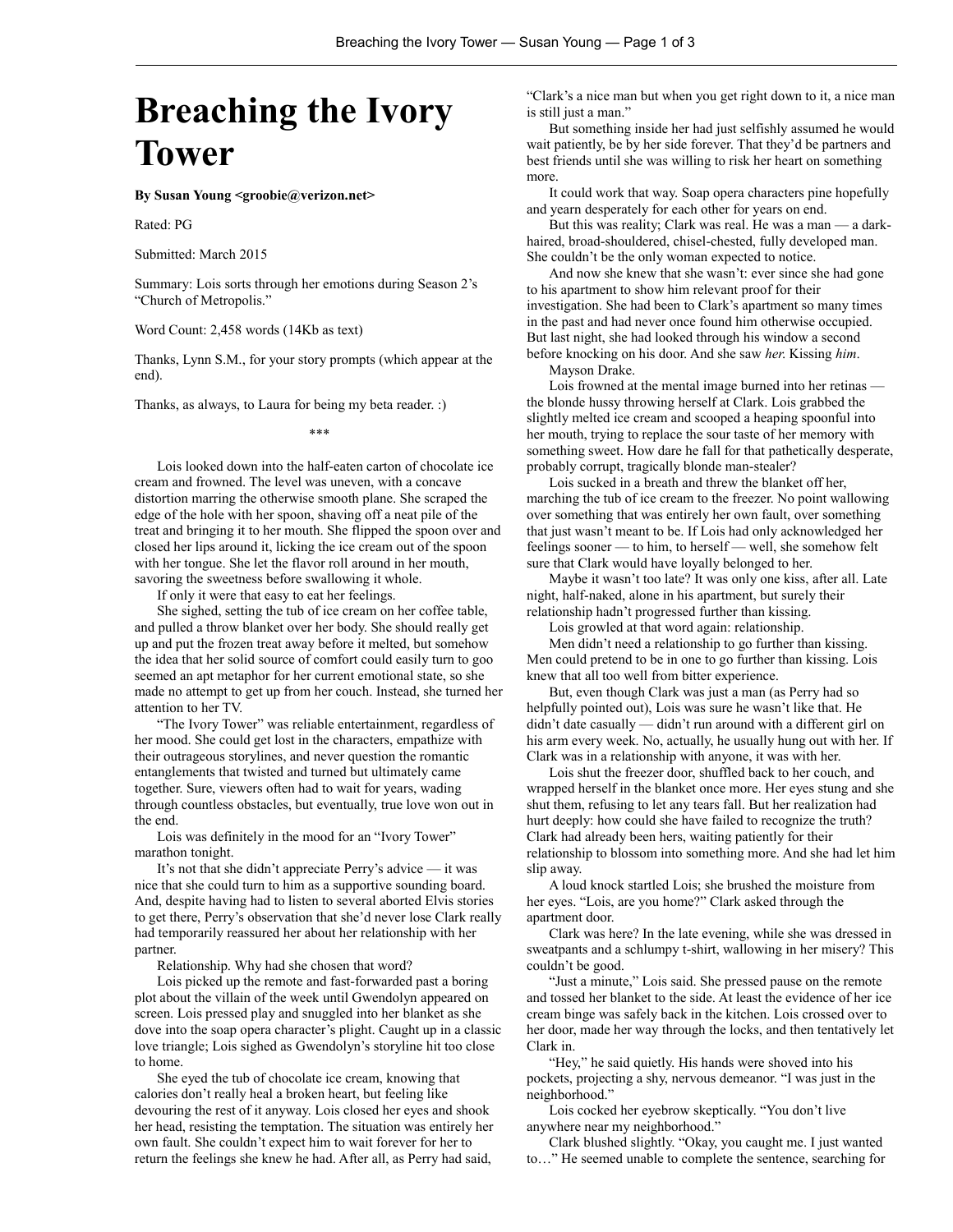## **Breaching the Ivory Tower**

**By Susan Young <groobie@verizon.net>**

Rated: PG

Submitted: March 2015

Summary: Lois sorts through her emotions during Season 2's "Church of Metropolis."

Word Count: 2,458 words (14Kb as text)

Thanks, Lynn S.M., for your story prompts (which appear at the end).

Thanks, as always, to Laura for being my beta reader. :)

\*\*\*

Lois looked down into the half-eaten carton of chocolate ice cream and frowned. The level was uneven, with a concave distortion marring the otherwise smooth plane. She scraped the edge of the hole with her spoon, shaving off a neat pile of the treat and bringing it to her mouth. She flipped the spoon over and closed her lips around it, licking the ice cream out of the spoon with her tongue. She let the flavor roll around in her mouth, savoring the sweetness before swallowing it whole.

If only it were that easy to eat her feelings.

She sighed, setting the tub of ice cream on her coffee table, and pulled a throw blanket over her body. She should really get up and put the frozen treat away before it melted, but somehow the idea that her solid source of comfort could easily turn to goo seemed an apt metaphor for her current emotional state, so she made no attempt to get up from her couch. Instead, she turned her attention to her TV.

"The Ivory Tower" was reliable entertainment, regardless of her mood. She could get lost in the characters, empathize with their outrageous storylines, and never question the romantic entanglements that twisted and turned but ultimately came together. Sure, viewers often had to wait for years, wading through countless obstacles, but eventually, true love won out in the end.

Lois was definitely in the mood for an "Ivory Tower" marathon tonight.

It's not that she didn't appreciate Perry's advice — it was nice that she could turn to him as a supportive sounding board. And, despite having had to listen to several aborted Elvis stories to get there, Perry's observation that she'd never lose Clark really had temporarily reassured her about her relationship with her partner.

Relationship. Why had she chosen that word?

Lois picked up the remote and fast-forwarded past a boring plot about the villain of the week until Gwendolyn appeared on screen. Lois pressed play and snuggled into her blanket as she dove into the soap opera character's plight. Caught up in a classic love triangle; Lois sighed as Gwendolyn's storyline hit too close to home.

She eyed the tub of chocolate ice cream, knowing that calories don't really heal a broken heart, but feeling like devouring the rest of it anyway. Lois closed her eyes and shook her head, resisting the temptation. The situation was entirely her own fault. She couldn't expect him to wait forever for her to return the feelings she knew he had. After all, as Perry had said,

"Clark's a nice man but when you get right down to it, a nice man is still just a man."

But something inside her had just selfishly assumed he would wait patiently, be by her side forever. That they'd be partners and best friends until she was willing to risk her heart on something more.

It could work that way. Soap opera characters pine hopefully and yearn desperately for each other for years on end.

But this was reality; Clark was real. He was a man — a darkhaired, broad-shouldered, chisel-chested, fully developed man. She couldn't be the only woman expected to notice.

And now she knew that she wasn't: ever since she had gone to his apartment to show him relevant proof for their investigation. She had been to Clark's apartment so many times in the past and had never once found him otherwise occupied. But last night, she had looked through his window a second before knocking on his door. And she saw *her*. Kissing *him*.

Mayson Drake.

Lois frowned at the mental image burned into her retinas the blonde hussy throwing herself at Clark. Lois grabbed the slightly melted ice cream and scooped a heaping spoonful into her mouth, trying to replace the sour taste of her memory with something sweet. How dare he fall for that pathetically desperate, probably corrupt, tragically blonde man-stealer?

Lois sucked in a breath and threw the blanket off her, marching the tub of ice cream to the freezer. No point wallowing over something that was entirely her own fault, over something that just wasn't meant to be. If Lois had only acknowledged her feelings sooner — to him, to herself — well, she somehow felt sure that Clark would have loyally belonged to her.

Maybe it wasn't too late? It was only one kiss, after all. Late night, half-naked, alone in his apartment, but surely their relationship hadn't progressed further than kissing.

Lois growled at that word again: relationship.

Men didn't need a relationship to go further than kissing. Men could pretend to be in one to go further than kissing. Lois knew that all too well from bitter experience.

But, even though Clark was just a man (as Perry had so helpfully pointed out), Lois was sure he wasn't like that. He didn't date casually — didn't run around with a different girl on his arm every week. No, actually, he usually hung out with her. If Clark was in a relationship with anyone, it was with her.

Lois shut the freezer door, shuffled back to her couch, and wrapped herself in the blanket once more. Her eyes stung and she shut them, refusing to let any tears fall. But her realization had hurt deeply: how could she have failed to recognize the truth? Clark had already been hers, waiting patiently for their relationship to blossom into something more. And she had let him slip away.

A loud knock startled Lois; she brushed the moisture from her eyes. "Lois, are you home?" Clark asked through the apartment door.

Clark was here? In the late evening, while she was dressed in sweatpants and a schlumpy t-shirt, wallowing in her misery? This couldn't be good.

"Just a minute," Lois said. She pressed pause on the remote and tossed her blanket to the side. At least the evidence of her ice cream binge was safely back in the kitchen. Lois crossed over to her door, made her way through the locks, and then tentatively let Clark in.

"Hey," he said quietly. His hands were shoved into his pockets, projecting a shy, nervous demeanor. "I was just in the neighborhood."

Lois cocked her eyebrow skeptically. "You don't live anywhere near my neighborhood."

Clark blushed slightly. "Okay, you caught me. I just wanted to…" He seemed unable to complete the sentence, searching for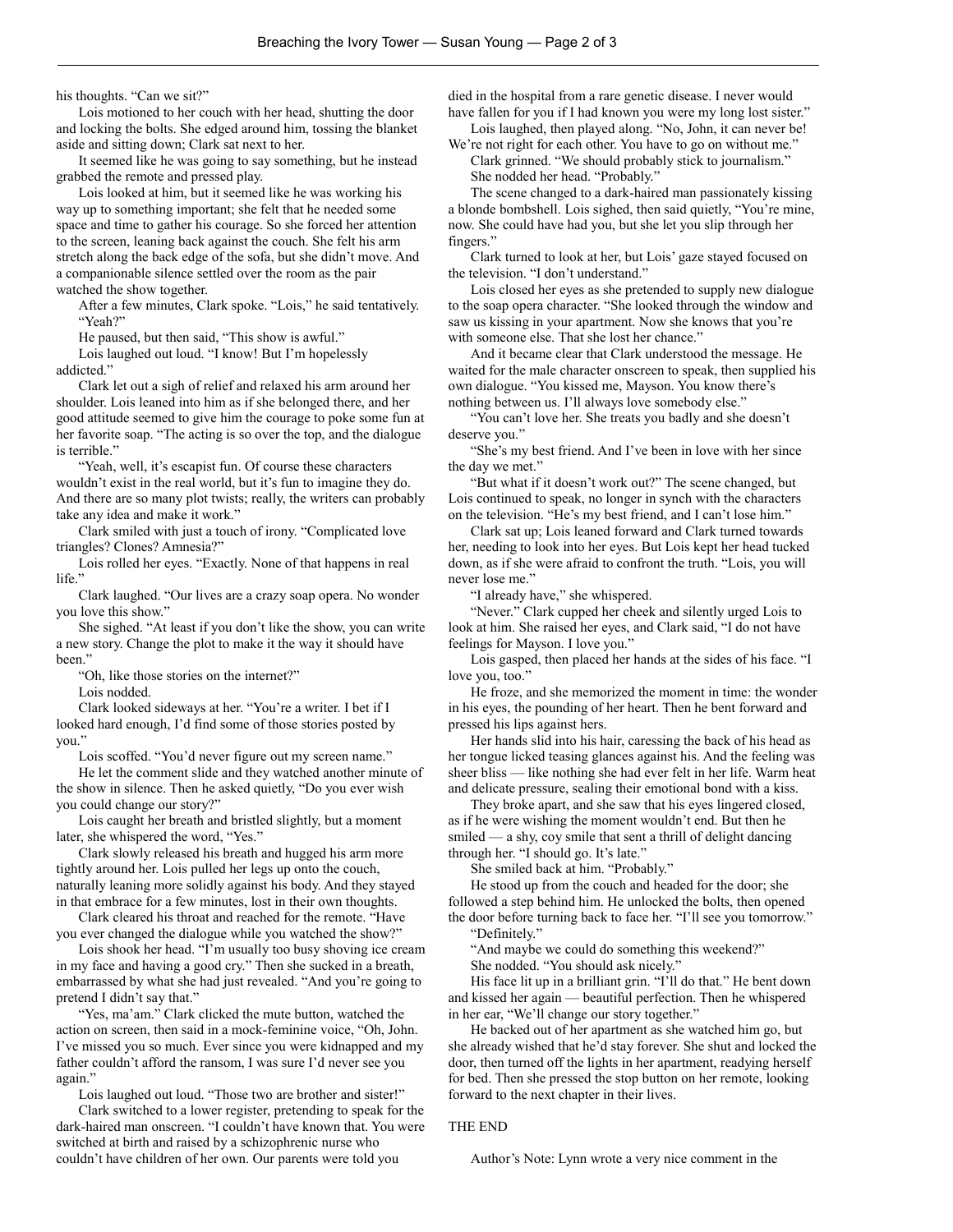his thoughts. "Can we sit?"

Lois motioned to her couch with her head, shutting the door and locking the bolts. She edged around him, tossing the blanket aside and sitting down; Clark sat next to her.

It seemed like he was going to say something, but he instead grabbed the remote and pressed play.

Lois looked at him, but it seemed like he was working his way up to something important; she felt that he needed some space and time to gather his courage. So she forced her attention to the screen, leaning back against the couch. She felt his arm stretch along the back edge of the sofa, but she didn't move. And a companionable silence settled over the room as the pair watched the show together.

After a few minutes, Clark spoke. "Lois," he said tentatively. "Yeah?"

He paused, but then said, "This show is awful."

Lois laughed out loud. "I know! But I'm hopelessly addicted."

Clark let out a sigh of relief and relaxed his arm around her shoulder. Lois leaned into him as if she belonged there, and her good attitude seemed to give him the courage to poke some fun at her favorite soap. "The acting is so over the top, and the dialogue is terrible."

"Yeah, well, it's escapist fun. Of course these characters wouldn't exist in the real world, but it's fun to imagine they do. And there are so many plot twists; really, the writers can probably take any idea and make it work."

Clark smiled with just a touch of irony. "Complicated love triangles? Clones? Amnesia?"

Lois rolled her eyes. "Exactly. None of that happens in real life."

Clark laughed. "Our lives are a crazy soap opera. No wonder you love this show."

She sighed. "At least if you don't like the show, you can write a new story. Change the plot to make it the way it should have heen."

"Oh, like those stories on the internet?"

Lois nodded.

Clark looked sideways at her. "You're a writer. I bet if I looked hard enough, I'd find some of those stories posted by you."

Lois scoffed. "You'd never figure out my screen name."

He let the comment slide and they watched another minute of the show in silence. Then he asked quietly, "Do you ever wish you could change our story?"

Lois caught her breath and bristled slightly, but a moment later, she whispered the word, "Yes."

Clark slowly released his breath and hugged his arm more tightly around her. Lois pulled her legs up onto the couch, naturally leaning more solidly against his body. And they stayed in that embrace for a few minutes, lost in their own thoughts.

Clark cleared his throat and reached for the remote. "Have you ever changed the dialogue while you watched the show?"

Lois shook her head. "I'm usually too busy shoving ice cream in my face and having a good cry." Then she sucked in a breath, embarrassed by what she had just revealed. "And you're going to pretend I didn't say that."

"Yes, ma'am." Clark clicked the mute button, watched the action on screen, then said in a mock-feminine voice, "Oh, John. I've missed you so much. Ever since you were kidnapped and my father couldn't afford the ransom, I was sure I'd never see you again."

Lois laughed out loud. "Those two are brother and sister!"

Clark switched to a lower register, pretending to speak for the dark-haired man onscreen. "I couldn't have known that. You were switched at birth and raised by a schizophrenic nurse who couldn't have children of her own. Our parents were told you

died in the hospital from a rare genetic disease. I never would have fallen for you if I had known you were my long lost sister." Lois laughed, then played along. "No, John, it can never be!

We're not right for each other. You have to go on without me." Clark grinned. "We should probably stick to journalism." She nodded her head. "Probably."

The scene changed to a dark-haired man passionately kissing a blonde bombshell. Lois sighed, then said quietly, "You're mine, now. She could have had you, but she let you slip through her fingers."

Clark turned to look at her, but Lois' gaze stayed focused on the television. "I don't understand."

Lois closed her eyes as she pretended to supply new dialogue to the soap opera character. "She looked through the window and saw us kissing in your apartment. Now she knows that you're with someone else. That she lost her chance."

And it became clear that Clark understood the message. He waited for the male character onscreen to speak, then supplied his own dialogue. "You kissed me, Mayson. You know there's nothing between us. I'll always love somebody else."

"You can't love her. She treats you badly and she doesn't deserve you."

"She's my best friend. And I've been in love with her since the day we met."

"But what if it doesn't work out?" The scene changed, but Lois continued to speak, no longer in synch with the characters on the television. "He's my best friend, and I can't lose him."

Clark sat up; Lois leaned forward and Clark turned towards her, needing to look into her eyes. But Lois kept her head tucked down, as if she were afraid to confront the truth. "Lois, you will never lose me."

"I already have," she whispered.

"Never." Clark cupped her cheek and silently urged Lois to look at him. She raised her eyes, and Clark said, "I do not have feelings for Mayson. I love you."

Lois gasped, then placed her hands at the sides of his face. "I love you, too."

He froze, and she memorized the moment in time: the wonder in his eyes, the pounding of her heart. Then he bent forward and pressed his lips against hers.

Her hands slid into his hair, caressing the back of his head as her tongue licked teasing glances against his. And the feeling was sheer bliss — like nothing she had ever felt in her life. Warm heat and delicate pressure, sealing their emotional bond with a kiss.

They broke apart, and she saw that his eyes lingered closed, as if he were wishing the moment wouldn't end. But then he smiled — a shy, coy smile that sent a thrill of delight dancing through her. "I should go. It's late."

She smiled back at him. "Probably."

He stood up from the couch and headed for the door; she followed a step behind him. He unlocked the bolts, then opened the door before turning back to face her. "I'll see you tomorrow."

"Definitely."

"And maybe we could do something this weekend?"

She nodded. "You should ask nicely."

His face lit up in a brilliant grin. "I'll do that." He bent down and kissed her again — beautiful perfection. Then he whispered in her ear, "We'll change our story together."

He backed out of her apartment as she watched him go, but she already wished that he'd stay forever. She shut and locked the door, then turned off the lights in her apartment, readying herself for bed. Then she pressed the stop button on her remote, looking forward to the next chapter in their lives.

## THE END

Author's Note: Lynn wrote a very nice comment in the